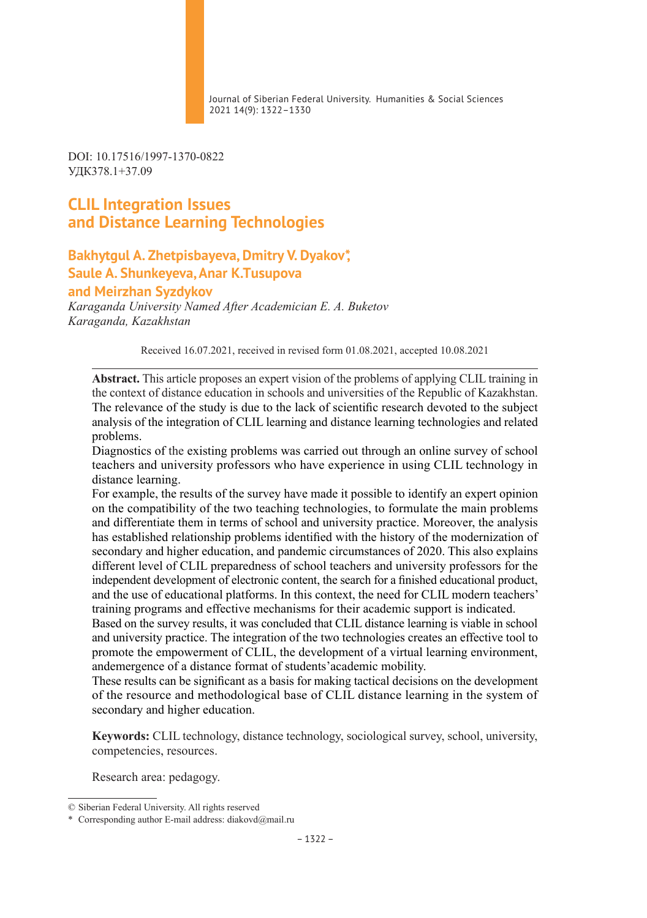Journal of Siberian Federal University. Humanities & Social Sciences 2021 14(9): 1322–1330

DOI: 10.17516/1997-1370-0822 УДК378.1+37.09

# **CLIL Integration Issues and Distance Learning Technologies**

## **Bakhytgul A. Zhetpisbayeva, Dmitry V. Dyakov\*, Saule A. Shunkeyeva, Anar K.Тusupova and Meirzhan Syzdykov**

*Karaganda University Named After Academician E. A. Buketov Karaganda, Kazakhstan*

Received 16.07.2021, received in revised form 01.08.2021, accepted 10.08.2021

**Abstract.** This article proposes an expert vision of the problems of applying CLIL training in the context of distance education in schools and universities of the Republic of Kazakhstan. The relevance of the study is due to the lack of scientific research devoted to the subject analysis of the integration of CLIL learning and distance learning technologies and related problems.

Diagnostics of the existing problems was carried out through an online survey of school teachers and university professors who have experience in using CLIL technology in distance learning.

For example, the results of the survey have made it possible to identify an expert opinion on the compatibility of the two teaching technologies, to formulate the main problems and differentiate them in terms of school and university practice. Moreover, the analysis has established relationship problems identified with the history of the modernization of secondary and higher education, and pandemic circumstances of 2020. This also explains different level of CLIL preparedness of school teachers and university professors for the independent development of electronic content, the search for a finished educational product, and the use of educational platforms. In this context, the need for CLIL modern teachers' training programs and effective mechanisms for their academic support is indicated.

Based on the survey results, it was concluded that CLIL distance learning is viable in school and university practice. The integration of the two technologies creates an effective tool to promote the empowerment of CLIL, the development of a virtual learning environment, andemergence of a distance format of students'academic mobility.

These results can be significant as a basis for making tactical decisions on the development of the resource and methodological base of CLIL distance learning in the system of secondary and higher education.

**Keywords:** CLIL technology, distance technology, sociological survey, school, university, competencies, resources.

Research area: pedagogy.

<sup>©</sup> Siberian Federal University. All rights reserved

<sup>\*</sup> Corresponding author E-mail address: diakovd@mail.ru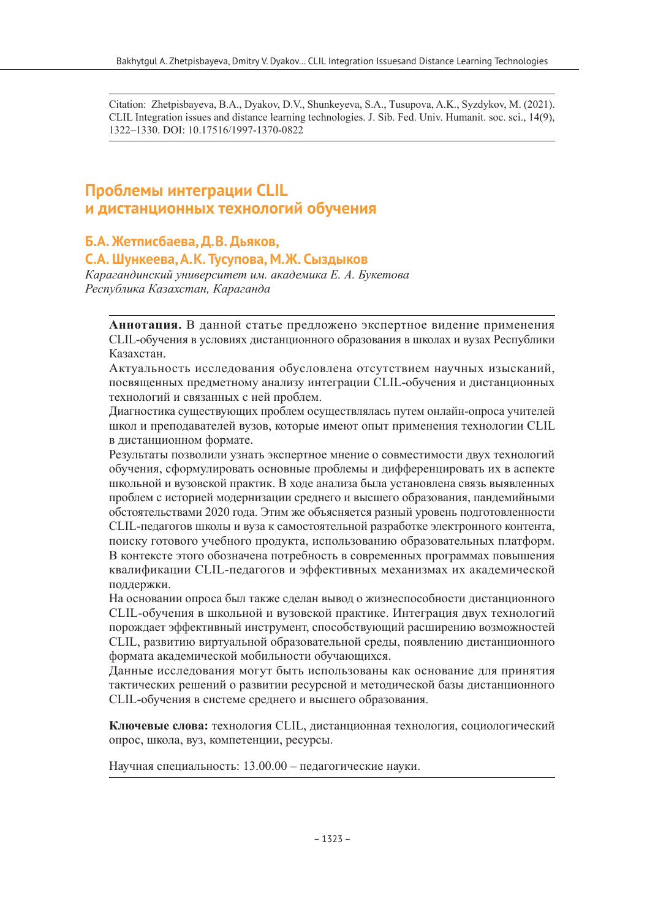Citation: Zhetpisbayeva, B.A., Dyakov, D.V., Shunkeyeva, S.A., Тusupova, A.K., Syzdykov, М. (2021). CLIL Integration issues and distance learning technologies. J. Sib. Fed. Univ. Humanit. soc. sci., 14(9), 1322–1330. DOI: 10.17516/1997-1370-0822

# **Проблемы интеграции CLIL и дистанционных технологий обучения**

## **Б.А. Жетписбаева, Д.В.Дьяков,**

### **С.А. Шункеева, А.К. Тусупова, М.Ж. Сыздыков**

*Карагандинский университет им. академика Е. А. Букетова Республика Казахстан, Караганда*

**Аннотация.** В данной статье предложено экспертное видение применения CLIL‑обучения в условиях дистанционного образования в школах и вузах Республики Казахстан.

Актуальность исследования обусловлена отсутствием научных изысканий, посвященных предметному анализу интеграции CLIL‑обучения и дистанционных технологий и связанных с ней проблем.

Диагностика существующих проблем осуществлялась путем онлайн-опроса учителей школ и преподавателей вузов, которые имеют опыт применения технологии CLIL в дистанционном формате.

Результаты позволили узнать экспертное мнение о совместимости двух технологий обучения, сформулировать основные проблемы и дифференцировать их в аспекте школьной и вузовской практик. В ходе анализа была установлена связь выявленных проблем с историей модернизации среднего и высшего образования, пандемийными обстоятельствами 2020 года. Этим же объясняется разный уровень подготовленности CLIL‑педагогов школы и вуза к самостоятельной разработке электронного контента, поиску готового учебного продукта, использованию образовательных платформ. В контексте этого обозначена потребность в современных программах повышения квалификации CLIL‑педагогов и эффективных механизмах их академической поддержки.

На основании опроса был также сделан вывод о жизнеспособности дистанционного CLIL‑обучения в школьной и вузовской практике. Интеграция двух технологий порождает эффективный инструмент, способствующий расширению возможностей CLIL, развитию виртуальной образовательной среды, появлению дистанционного формата академической мобильности обучающихся.

Данные исследования могут быть использованы как основание для принятия тактических решений о развитии ресурсной и методической базы дистанционного CLIL‑обучения в системе среднего и высшего образования.

**Ключевые слова:** технология CLIL, дистанционная технология, социологический опрос, школа, вуз, компетенции, ресурсы.

Научная специальность: 13.00.00 – педагогические науки.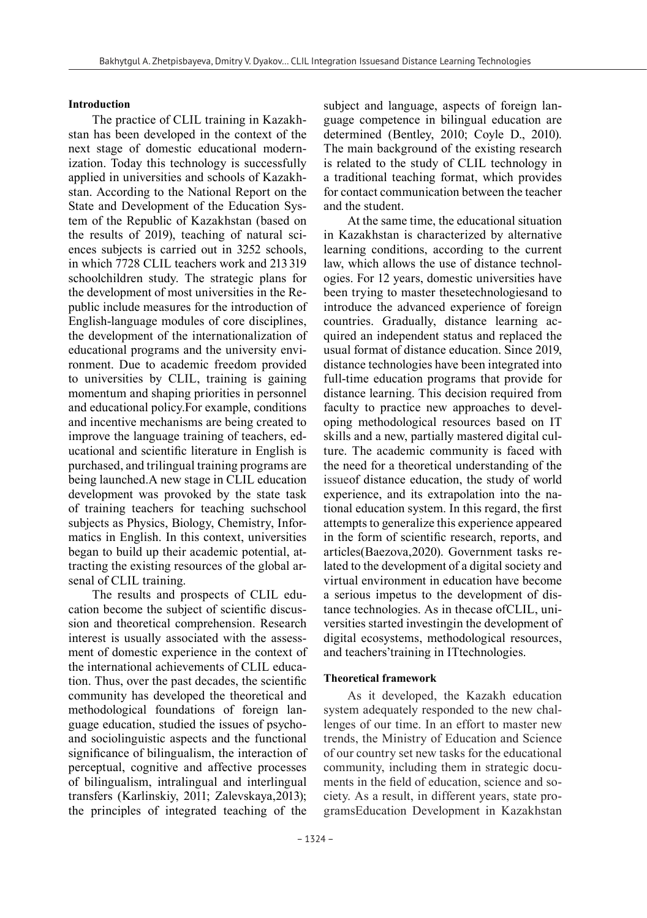#### **Introduction**

The practice of CLIL training in Kazakhstan has been developed in the context of the next stage of domestic educational modernization. Today this technology is successfully applied in universities and schools of Kazakhstan. According to the National Report on the State and Development of the Education System of the Republic of Kazakhstan (based on the results of 2019), teaching of natural sciences subjects is carried out in 3252 schools, in which 7728 CLIL teachers work and 213319 schoolchildren study. The strategic plans for the development of most universities in the Republic include measures for the introduction of English-language modules of core disciplines, the development of the internationalization of educational programs and the university environment. Due to academic freedom provided to universities by CLIL, training is gaining momentum and shaping priorities in personnel and educational policy.For example, conditions and incentive mechanisms are being created to improve the language training of teachers, educational and scientific literature in English is purchased, and trilingual training programs are being launched.A new stage in CLIL education development was provoked by the state task of training teachers for teaching suchschool subjects as Physics, Biology, Chemistry, Informatics in English. In this context, universities began to build up their academic potential, attracting the existing resources of the global arsenal of CLIL training.

The results and prospects of CLIL education become the subject of scientific discussion and theoretical comprehension. Research interest is usually associated with the assessment of domestic experience in the context of the international achievements of CLIL education. Thus, over the past decades, the scientific community has developed the theoretical and methodological foundations of foreign language education, studied the issues of psychoand sociolinguistic aspects and the functional significance of bilingualism, the interaction of perceptual, cognitive and affective processes of bilingualism, intralingual and interlingual transfers (Karlinskiy, 2011; Zalevskaya,2013); the principles of integrated teaching of the

subject and language, aspects of foreign language competence in bilingual education are determined (Bentley, 2010; Coyle D., 2010). The main background of the existing research is related to the study of CLIL technology in a traditional teaching format, which provides for contact communication between the teacher and the student.

At the same time, the educational situation in Kazakhstan is characterized by alternative learning conditions, according to the current law, which allows the use of distance technologies. For 12 years, domestic universities have been trying to master thesetechnologiesand to introduce the advanced experience of foreign countries. Gradually, distance learning acquired an independent status and replaced the usual format of distance education. Since 2019, distance technologies have been integrated into full-time education programs that provide for distance learning. This decision required from faculty to practice new approaches to developing methodological resources based on IT skills and a new, partially mastered digital culture. The academic community is faced with the need for a theoretical understanding of the issueof distance education, the study of world experience, and its extrapolation into the national education system. In this regard, the first attempts to generalize this experience appeared in the form of scientific research, reports, and articles(Baezova,2020). Government tasks related to the development of a digital society and virtual environment in education have become a serious impetus to the development of distance technologies. As in thecase ofCLIL, universities started investingin the development of digital ecosystems, methodological resources, and teachers'training in ITtechnologies.

#### **Theoretical framework**

As it developed, the Kazakh education system adequately responded to the new challenges of our time. In an effort to master new trends, the Ministry of Education and Science of our country set new tasks for the educational community, including them in strategic documents in the field of education, science and society. As a result, in different years, state programsEducation Development in Kazakhstan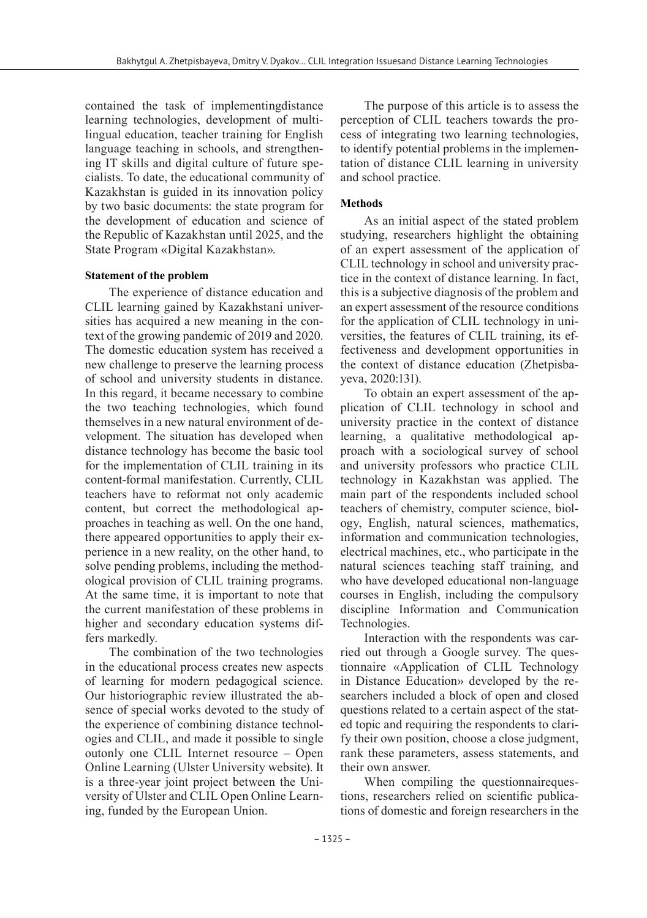contained the task of implementingdistance learning technologies, development of multilingual education, teacher training for English language teaching in schools, and strengthening IT skills and digital culture of future specialists. To date, the educational community of Kazakhstan is guided in its innovation policy by two basic documents: the state program for the development of education and science of the Republic of Kazakhstan until 2025, and the State Program «Digital Kazakhstan».

#### **Statement of the problem**

The experience of distance education and CLIL learning gained by Kazakhstani universities has acquired a new meaning in the context of the growing pandemic of 2019 and 2020. The domestic education system has received a new challenge to preserve the learning process of school and university students in distance. In this regard, it became necessary to combine the two teaching technologies, which found themselves in a new natural environment of development. The situation has developed when distance technology has become the basic tool for the implementation of CLIL training in its content-formal manifestation. Currently, CLIL teachers have to reformat not only academic content, but correct the methodological approaches in teaching as well. On the one hand, there appeared opportunities to apply their experience in a new reality, on the other hand, to solve pending problems, including the methodological provision of CLIL training programs. At the same time, it is important to note that the current manifestation of these problems in higher and secondary education systems differs markedly.

The combination of the two technologies in the educational process creates new aspects of learning for modern pedagogical science. Our historiographic review illustrated the absence of special works devoted to the study of the experience of combining distance technologies and CLIL, and made it possible to single outonly one CLIL Internet resource – Open Online Learning (Ulster University website). It is a three-year joint project between the University of Ulster and CLIL Open Online Learning, funded by the European Union.

The purpose of this article is to assess the perception of CLIL teachers towards the process of integrating two learning technologies, to identify potential problems in the implementation of distance CLIL learning in university and school practice.

#### **Methods**

As an initial aspect of the stated problem studying, researchers highlight the obtaining of an expert assessment of the application of CLIL technology in school and university practice in the context of distance learning. In fact, this is a subjective diagnosis of the problem and an expert assessment of the resource conditions for the application of CLIL technology in universities, the features of CLIL training, its effectiveness and development opportunities in the context of distance education (Zhetpisbayeva, 2020:131).

To obtain an expert assessment of the application of CLIL technology in school and university practice in the context of distance learning, a qualitative methodological approach with a sociological survey of school and university professors who practice CLIL technology in Kazakhstan was applied. The main part of the respondents included school teachers of chemistry, computer science, biology, English, natural sciences, mathematics, information and communication technologies, electrical machines, etc., who participate in the natural sciences teaching staff training, and who have developed educational non-language courses in English, including the compulsory discipline Information and Communication Technologies.

Interaction with the respondents was carried out through a Google survey. The questionnaire «Application of CLIL Technology in Distance Education» developed by the researchers included a block of open and closed questions related to a certain aspect of the stated topic and requiring the respondents to clarify their own position, choose a close judgment, rank these parameters, assess statements, and their own answer.

When compiling the questionnairequestions, researchers relied on scientific publications of domestic and foreign researchers in the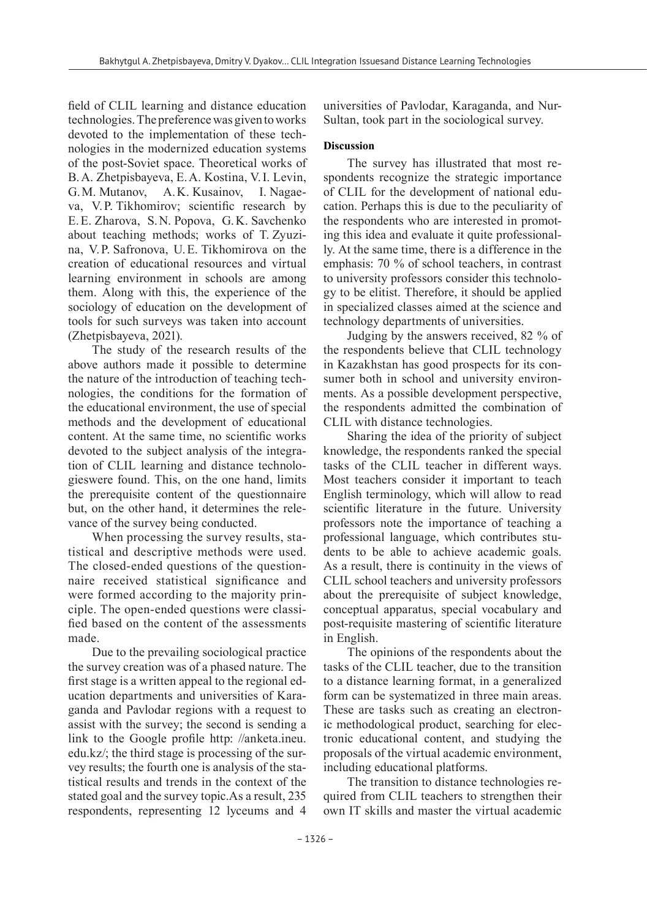field of CLIL learning and distance education technologies. The preference was given to works devoted to the implementation of these technologies in the modernized education systems of the post-Soviet space. Theoretical works of B.A. Zhetpisbayeva, E.A. Kostina, V.I. Levin, G.M. Mutanov, A.K. Kusainov, I. Nagaeva, V.P. Tikhomirov; scientific research by E.E. Zharova, S.N. Popova, G.K. Savchenko about teaching methods; works of T. Zyuzina, V.P. Safronova, U.E. Tikhomirova on the creation of educational resources and virtual learning environment in schools are among them. Along with this, the experience of the sociology of education on the development of tools for such surveys was taken into account (Zhetpisbayeva, 2021).

The study of the research results of the above authors made it possible to determine the nature of the introduction of teaching technologies, the conditions for the formation of the educational environment, the use of special methods and the development of educational content. At the same time, no scientific works devoted to the subject analysis of the integration of CLIL learning and distance technologieswere found. This, on the one hand, limits the prerequisite content of the questionnaire but, on the other hand, it determines the relevance of the survey being conducted.

When processing the survey results, statistical and descriptive methods were used. The closed-ended questions of the questionnaire received statistical significance and were formed according to the majority principle. The open-ended questions were classified based on the content of the assessments made.

Due to the prevailing sociological practice the survey creation was of a phased nature. The first stage is a written appeal to the regional education departments and universities of Karaganda and Pavlodar regions with a request to assist with the survey; the second is sending a link to the Google profile http: //anketa.ineu. edu.kz/; the third stage is processing of the survey results; the fourth one is analysis of the statistical results and trends in the context of the stated goal and the survey topic.As a result, 235 respondents, representing 12 lyceums and 4

universities of Pavlodar, Karaganda, and Nur--Sultan, took part in the sociological survey.

#### **Discussion**

The survey has illustrated that most respondents recognize the strategic importance of CLIL for the development of national education. Perhaps this is due to the peculiarity of the respondents who are interested in promoting this idea and evaluate it quite professionally. At the same time, there is a difference in the emphasis: 70 % of school teachers, in contrast to university professors consider this technology to be elitist. Therefore, it should be applied in specialized classes aimed at the science and technology departments of universities.

Judging by the answers received, 82 % of the respondents believe that CLIL technology in Kazakhstan has good prospects for its consumer both in school and university environments. As a possible development perspective, the respondents admitted the combination of CLIL with distance technologies.

Sharing the idea of the priority of subject knowledge, the respondents ranked the special tasks of the CLIL teacher in different ways. Most teachers consider it important to teach English terminology, which will allow to read scientific literature in the future. University professors note the importance of teaching a professional language, which contributes students to be able to achieve academic goals. As a result, there is continuity in the views of CLIL school teachers and university professors about the prerequisite of subject knowledge, conceptual apparatus, special vocabulary and post-requisite mastering of scientific literature in English.

The opinions of the respondents about the tasks of the CLIL teacher, due to the transition to a distance learning format, in a generalized form can be systematized in three main areas. These are tasks such as creating an electronic methodological product, searching for electronic educational content, and studying the proposals of the virtual academic environment, including educational platforms.

The transition to distance technologies required from CLIL teachers to strengthen their own IT skills and master the virtual academic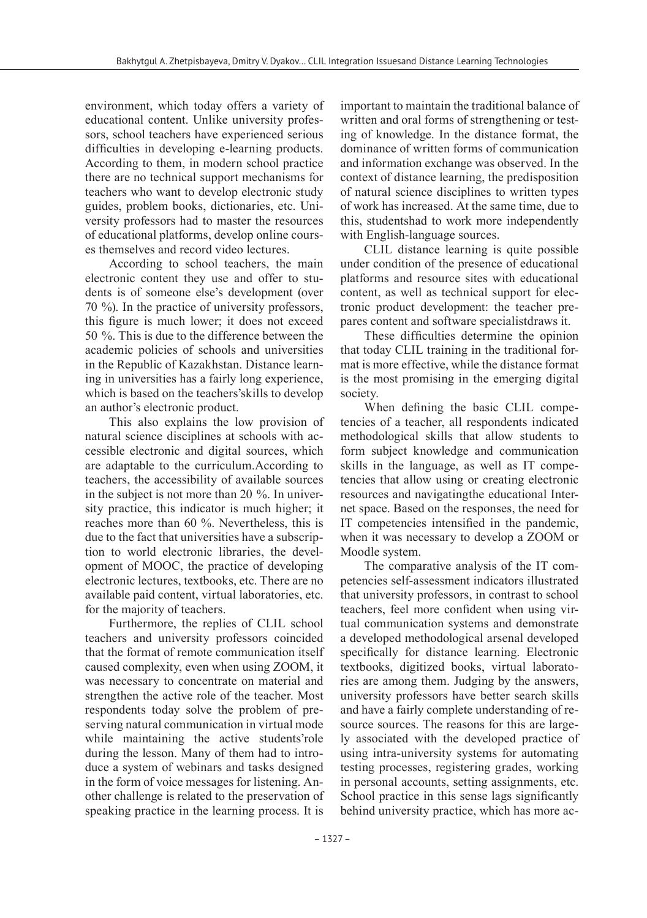environment, which today offers a variety of educational content. Unlike university professors, school teachers have experienced serious difficulties in developing e-learning products. According to them, in modern school practice there are no technical support mechanisms for teachers who want to develop electronic study guides, problem books, dictionaries, etc. University professors had to master the resources of educational platforms, develop online courses themselves and record video lectures.

According to school teachers, the main electronic content they use and offer to students is of someone else's development (over 70 %). In the practice of university professors, this figure is much lower; it does not exceed 50 %. This is due to the difference between the academic policies of schools and universities in the Republic of Kazakhstan. Distance learning in universities has a fairly long experience, which is based on the teachers'skills to develop an author's electronic product.

This also explains the low provision of natural science disciplines at schools with accessible electronic and digital sources, which are adaptable to the curriculum.According to teachers, the accessibility of available sources in the subject is not more than 20 %. In university practice, this indicator is much higher; it reaches more than 60 %. Nevertheless, this is due to the fact that universities have a subscription to world electronic libraries, the development of MOOC, the practice of developing electronic lectures, textbooks, etc. There are no available paid content, virtual laboratories, etc. for the majority of teachers.

Furthermore, the replies of CLIL school teachers and university professors coincided that the format of remote communication itself caused complexity, even when using ZOOM, it was necessary to concentrate on material and strengthen the active role of the teacher. Most respondents today solve the problem of preserving natural communication in virtual mode while maintaining the active students'role during the lesson. Many of them had to introduce a system of webinars and tasks designed in the form of voice messages for listening. Another challenge is related to the preservation of speaking practice in the learning process. It is

important to maintain the traditional balance of written and oral forms of strengthening or testing of knowledge. In the distance format, the dominance of written forms of communication and information exchange was observed. In the context of distance learning, the predisposition of natural science disciplines to written types of work has increased. At the same time, due to this, studentshad to work more independently with English-language sources.

CLIL distance learning is quite possible under condition of the presence of educational platforms and resource sites with educational content, as well as technical support for electronic product development: the teacher prepares content and software specialistdraws it.

These difficulties determine the opinion that today CLIL training in the traditional format is more effective, while the distance format is the most promising in the emerging digital society.

When defining the basic CLIL competencies of a teacher, all respondents indicated methodological skills that allow students to form subject knowledge and communication skills in the language, as well as IT competencies that allow using or creating electronic resources and navigatingthe educational Internet space. Based on the responses, the need for IT competencies intensified in the pandemic, when it was necessary to develop a ZOOM or Moodle system.

The comparative analysis of the IT competencies self-assessment indicators illustrated that university professors, in contrast to school teachers, feel more confident when using virtual communication systems and demonstrate a developed methodological arsenal developed specifically for distance learning. Electronic textbooks, digitized books, virtual laboratories are among them. Judging by the answers, university professors have better search skills and have a fairly complete understanding of resource sources. The reasons for this are largely associated with the developed practice of using intra-university systems for automating testing processes, registering grades, working in personal accounts, setting assignments, etc. School practice in this sense lags significantly behind university practice, which has more ac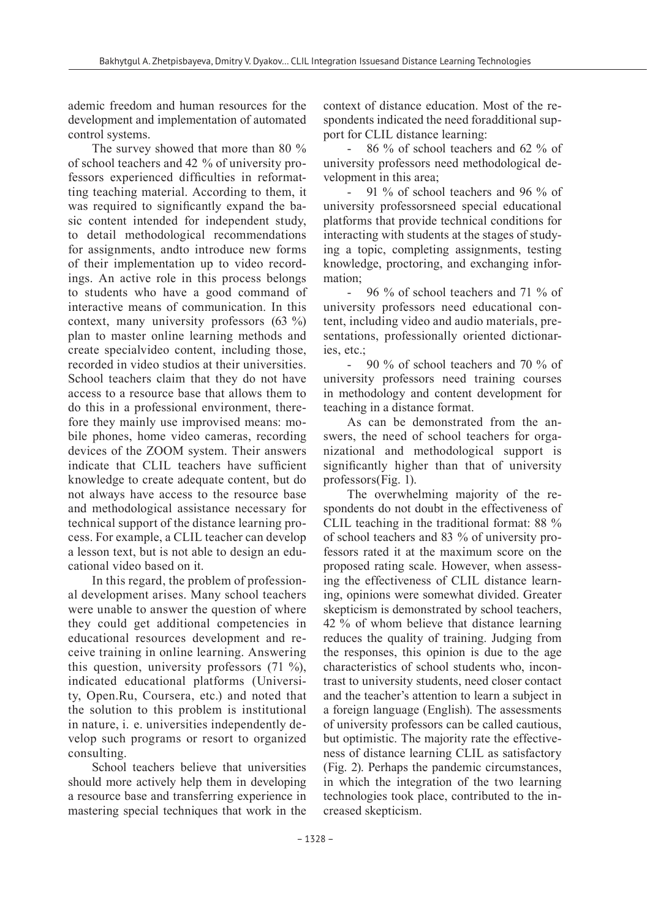ademic freedom and human resources for the development and implementation of automated control systems.

The survey showed that more than 80 % of school teachers and 42 % of university professors experienced difficulties in reformatting teaching material. According to them, it was required to significantly expand the basic content intended for independent study, to detail methodological recommendations for assignments, andto introduce new forms of their implementation up to video recordings. An active role in this process belongs to students who have a good command of interactive means of communication. In this context, many university professors (63 %) plan to master online learning methods and create specialvideo content, including those, recorded in video studios at their universities. School teachers claim that they do not have access to a resource base that allows them to do this in a professional environment, therefore they mainly use improvised means: mobile phones, home video cameras, recording devices of the ZOOM system. Their answers indicate that CLIL teachers have sufficient knowledge to create adequate content, but do not always have access to the resource base and methodological assistance necessary for technical support of the distance learning process. For example, a CLIL teacher can develop a lesson text, but is not able to design an educational video based on it.

In this regard, the problem of professional development arises. Many school teachers were unable to answer the question of where they could get additional competencies in educational resources development and receive training in online learning. Answering this question, university professors (71 %), indicated educational platforms (University, Open.Ru, Coursera, etc.) and noted that the solution to this problem is institutional in nature, i. e. universities independently develop such programs or resort to organized consulting.

School teachers believe that universities should more actively help them in developing a resource base and transferring experience in mastering special techniques that work in the context of distance education. Most of the respondents indicated the need foradditional support for CLIL distance learning:

- 86 % of school teachers and 62 % of university professors need methodological development in this area;

91 % of school teachers and 96 % of university professorsneed special educational platforms that provide technical conditions for interacting with students at the stages of studying a topic, completing assignments, testing knowledge, proctoring, and exchanging information;

- 96 % of school teachers and 71 % of university professors need educational content, including video and audio materials, presentations, professionally oriented dictionaries, etc.;

- 90 % of school teachers and 70 % of university professors need training courses in methodology and content development for teaching in a distance format.

As can be demonstrated from the answers, the need of school teachers for organizational and methodological support is significantly higher than that of university professors(Fig. 1).

The overwhelming majority of the respondents do not doubt in the effectiveness of CLIL teaching in the traditional format: 88 % of school teachers and 83 % of university professors rated it at the maximum score on the proposed rating scale. However, when assessing the effectiveness of CLIL distance learning, opinions were somewhat divided. Greater skepticism is demonstrated by school teachers, 42 % of whom believe that distance learning reduces the quality of training. Judging from the responses, this opinion is due to the age characteristics of school students who, incontrast to university students, need closer contact and the teacher's attention to learn a subject in a foreign language (English). The assessments of university professors can be called cautious, but optimistic. The majority rate the effectiveness of distance learning CLIL as satisfactory (Fig. 2). Perhaps the pandemic circumstances, in which the integration of the two learning technologies took place, contributed to the increased skepticism.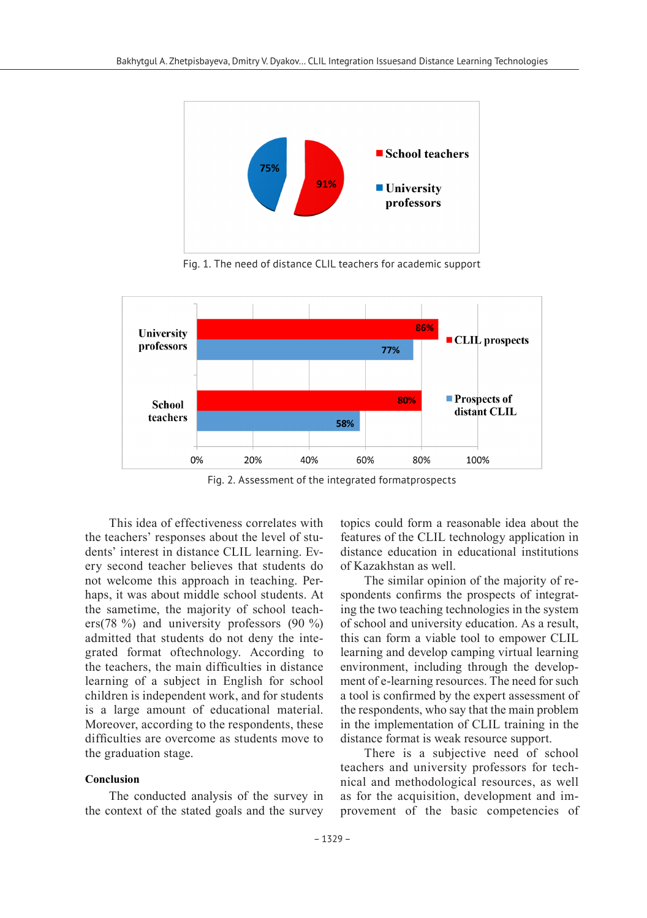

Fig. 1. The need of distance CLIL teachers for academic support



Fig. 2. Assessment of the integrated formatprospects

This idea of effectiveness correlates with the teachers' responses about the level of students' interest in distance CLIL learning. Every second teacher believes that students do not welcome this approach in teaching. Perhaps, it was about middle school students. At the sametime, the majority of school teachers(78 %) and university professors (90 %) admitted that students do not deny the integrated format oftechnology. According to the teachers, the main difficulties in distance learning of a subject in English for school children is independent work, and for students is a large amount of educational material. Moreover, according to the respondents, these difficulties are overcome as students move to the graduation stage.

#### **Conclusion**

The conducted analysis of the survey in the context of the stated goals and the survey topics could form a reasonable idea about the features of the CLIL technology application in distance education in educational institutions of Kazakhstan as well.

The similar opinion of the majority of respondents confirms the prospects of integrating the two teaching technologies in the system of school and university education. As a result, this can form a viable tool to empower CLIL learning and develop camping virtual learning environment, including through the development of e-learning resources. The need for such a tool is confirmed by the expert assessment of the respondents, who say that the main problem in the implementation of CLIL training in the distance format is weak resource support.

There is a subjective need of school teachers and university professors for technical and methodological resources, as well as for the acquisition, development and improvement of the basic competencies of